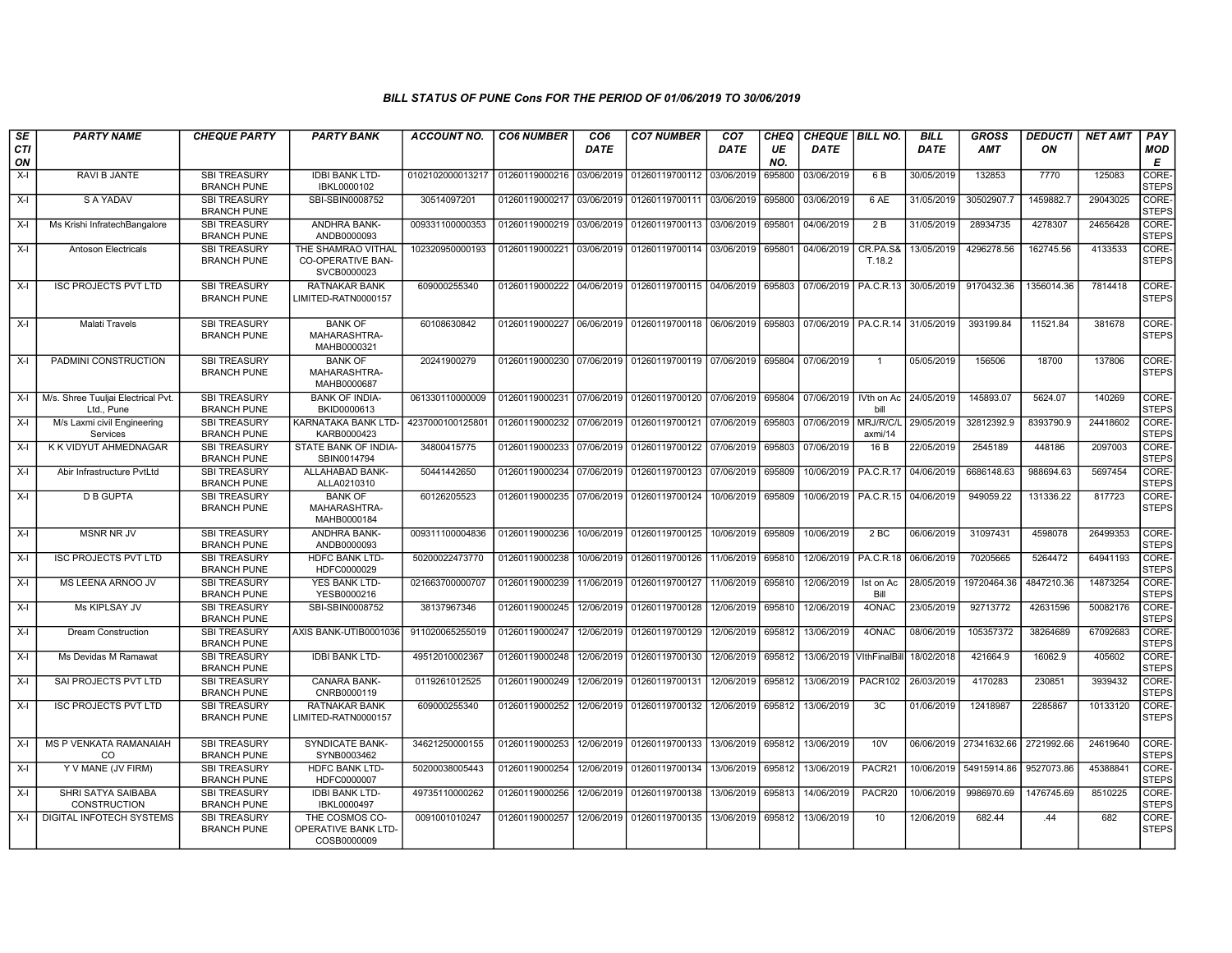| SE        | <b>PARTY NAME</b>                                | <b>CHEQUE PARTY</b>                       | <b>PARTY BANK</b>                                             | <b>ACCOUNT NO.</b> | <b>CO6 NUMBER</b>         | CO <sub>6</sub> | <b>CO7 NUMBER</b>                                   | CO <sub>7</sub> | CHEQ      | CHEQUE   BILL NO.          |                      | <b>BILL</b> | <b>GROSS</b>                      | <b>DEDUCTI</b> | <b>NET AMT</b> | <b>PAY</b>            |
|-----------|--------------------------------------------------|-------------------------------------------|---------------------------------------------------------------|--------------------|---------------------------|-----------------|-----------------------------------------------------|-----------------|-----------|----------------------------|----------------------|-------------|-----------------------------------|----------------|----------------|-----------------------|
| CTI<br>ON |                                                  |                                           |                                                               |                    |                           | DATE            |                                                     | DATE            | UE<br>NO. | DATE                       |                      | DATE        | AMT                               | ON             |                | <b>MOD</b><br>Е       |
| $X-I$     | RAVI B JANTE                                     | <b>SBI TREASURY</b><br><b>BRANCH PUNE</b> | <b>IDBI BANK LTD-</b><br>IBKL0000102                          | 0102102000013217   | 01260119000216            | 03/06/2019      | 01260119700112                                      | 03/06/2019      | 695800    | 03/06/2019                 | 6 B                  | 30/05/2019  | 132853                            | 7770           | 125083         | CORE-<br><b>STEPS</b> |
| $X-I$     | S A YADAV                                        | <b>SBI TREASURY</b><br><b>BRANCH PUNE</b> | SBI-SBIN0008752                                               | 30514097201        | 01260119000217            | 03/06/2019      | 01260119700111                                      | 03/06/2019      | 695800    | 03/06/2019                 | 6 AE                 | 31/05/2019  | 30502907.7                        | 1459882.7      | 29043025       | CORE-<br><b>STEPS</b> |
| $X-I$     | Ms Krishi InfratechBangalore                     | <b>SBI TREASURY</b><br><b>BRANCH PUNE</b> | ANDHRA BANK-<br>ANDB0000093                                   | 009331100000353    | 01260119000219            | 03/06/2019      | 01260119700113                                      | 03/06/2019      | 695801    | 04/06/2019                 | 2B                   | 31/05/2019  | 28934735                          | 4278307        | 24656428       | CORE-<br><b>STEPS</b> |
| $X-I$     | <b>Antoson Electricals</b>                       | <b>SBI TREASURY</b><br><b>BRANCH PUNE</b> | THE SHAMRAO VITHAL<br><b>CO-OPERATIVE BAN-</b><br>SVCB0000023 | 102320950000193    | 01260119000221            | 03/06/2019      | 01260119700114                                      | 03/06/2019      | 695801    | 04/06/2019                 | CR.PA.S8<br>T.18.2   | 13/05/2019  | 4296278.56                        | 162745.56      | 4133533        | CORE-<br><b>STEPS</b> |
| $X-I$     | <b>ISC PROJECTS PVT LTD</b>                      | <b>SBI TREASURY</b><br><b>BRANCH PUNE</b> | <b>RATNAKAR BANK</b><br>LIMITED-RATN0000157                   | 609000255340       | 01260119000222 04/06/2019 |                 | 01260119700115 04/06/2019                           |                 | 695803    | 07/06/2019                 | PA.C.R.13            | 30/05/2019  | 9170432.36                        | 1356014.36     | 7814418        | CORE-<br><b>STEPS</b> |
| X-I       | <b>Malati Travels</b>                            | <b>SBI TREASURY</b><br><b>BRANCH PUNE</b> | <b>BANK OF</b><br>MAHARASHTRA-<br>MAHB0000321                 | 60108630842        | 01260119000227            |                 | 06/06/2019 01260119700118 06/06/2019                |                 | 695803    | 07/06/2019   PA.C.R.14     |                      | 31/05/2019  | 393199.84                         | 11521.84       | 381678         | CORE-<br><b>STEPS</b> |
| X-I       | PADMINI CONSTRUCTION                             | <b>SBI TREASURY</b><br><b>BRANCH PUNE</b> | <b>BANK OF</b><br>MAHARASHTRA-<br>MAHB0000687                 | 20241900279        |                           |                 | 01260119000230 07/06/2019 01260119700119 07/06/2019 |                 | 695804    | 07/06/2019                 |                      | 05/05/2019  | 156506                            | 18700          | 137806         | CORE-<br><b>STEPS</b> |
| $X-I$     | M/s. Shree Tuuljai Electrical Pvt.<br>Ltd., Pune | <b>SBI TREASURY</b><br><b>BRANCH PUNE</b> | <b>BANK OF INDIA-</b><br>BKID0000613                          | 061330110000009    |                           |                 | 01260119000231 07/06/2019 01260119700120 07/06/2019 |                 | 695804    | 07/06/2019                 | IVth on Ac<br>bill   | 24/05/2019  | 145893.07                         | 5624.07        | 140269         | CORE-<br><b>STEPS</b> |
| $X-I$     | M/s Laxmi civil Engineering<br>Services          | SBI TREASURY<br><b>BRANCH PUNE</b>        | KARNATAKA BANK LTD-<br>KARB0000423                            | 4237000100125801   | 01260119000232 07/06/2019 |                 | 01260119700121                                      | 07/06/2019      | 695803    | 07/06/2019                 | MRJ/R/C/L<br>axmi/14 | 29/05/2019  | 32812392.9                        | 8393790.9      | 24418602       | CORE-<br><b>STEPS</b> |
| $X-I$     | K K VIDYUT AHMEDNAGAR                            | <b>SBI TREASURY</b><br><b>BRANCH PUNE</b> | STATE BANK OF INDIA-<br>SBIN0014794                           | 34800415775        | 01260119000233            | 07/06/2019      | 01260119700122 07/06/2019                           |                 | 695803    | 07/06/2019                 | 16 B                 | 22/05/2019  | 2545189                           | 448186         | 2097003        | CORE-<br><b>STEPS</b> |
| $X-I$     | Abir Infrastructure PvtLtd                       | <b>SBI TREASURY</b><br><b>BRANCH PUNE</b> | ALLAHABAD BANK-<br>ALLA0210310                                | 50441442650        | 01260119000234            | 07/06/2019      | 01260119700123                                      | 07/06/2019      | 695809    | 10/06/2019                 | <b>PA.C.R.17</b>     | 04/06/2019  | 6686148.63                        | 988694.63      | 5697454        | CORE-<br><b>STEPS</b> |
| X-I       | <b>D B GUPTA</b>                                 | <b>SBI TREASURY</b><br><b>BRANCH PUNE</b> | <b>BANK OF</b><br>MAHARASHTRA-<br>MAHB0000184                 | 60126205523        | 01260119000235            | 07/06/2019      | 01260119700124                                      | 10/06/2019      | 695809    | 10/06/2019                 | PA.C.R.15            | 04/06/2019  | 949059.22                         | 131336.22      | 817723         | CORE-<br><b>STEPS</b> |
| $X-I$     | <b>MSNR NR JV</b>                                | <b>SBI TREASURY</b><br><b>BRANCH PUNE</b> | ANDHRA BANK-<br>ANDB0000093                                   | 009311100004836    | 01260119000236            | 10/06/2019      | 01260119700125                                      | 10/06/2019      | 695809    | 10/06/2019                 | 2 <sub>BC</sub>      | 06/06/2019  | 31097431                          | 4598078        | 26499353       | CORE-<br><b>STEPS</b> |
| $X-I$     | <b>ISC PROJECTS PVT LTD</b>                      | <b>SBI TREASURY</b><br><b>BRANCH PUNE</b> | <b>HDFC BANK LTD-</b><br>HDFC0000029                          | 50200022473770     | 01260119000238            | 10/06/2019      | 01260119700126                                      | 11/06/2019      | 695810    | 12/06/2019                 | <b>PA.C.R.18</b>     | 06/06/2019  | 70205665                          | 5264472        | 64941193       | CORE-<br><b>STEPS</b> |
| $X-I$     | MS LEENA ARNOO JV                                | <b>SBI TREASURY</b><br><b>BRANCH PUNE</b> | <b>YES BANK LTD-</b><br>YESB0000216                           | 021663700000707    | 01260119000239            | 11/06/2019      | 01260119700127                                      | 11/06/2019      | 695810    | 12/06/2019                 | Ist on Ac<br>Bill    | 28/05/2019  | 19720464.36                       | 4847210.36     | 14873254       | CORE-<br><b>STEPS</b> |
| $X-I$     | Ms KIPLSAY JV                                    | <b>SBI TREASURY</b><br><b>BRANCH PUNE</b> | SBI-SBIN0008752                                               | 38137967346        | 01260119000245            | 12/06/2019      | 01260119700128                                      | 12/06/2019      | 695810    | 12/06/2019                 | 40NAC                | 23/05/2019  | 92713772                          | 42631596       | 50082176       | CORE-<br><b>STEPS</b> |
| $X-I$     | <b>Dream Construction</b>                        | <b>SBI TREASURY</b><br><b>BRANCH PUNE</b> | AXIS BANK-UTIB0001036                                         | 911020065255019    | 01260119000247            | 12/06/2019      | 01260119700129                                      | 12/06/2019      | 695812    | 13/06/2019                 | 40NAC                | 08/06/2019  | 105357372                         | 38264689       | 67092683       | CORE-<br><b>STEPS</b> |
| $X-I$     | Ms Devidas M Ramawat                             | <b>SBI TREASURY</b><br><b>BRANCH PUNE</b> | <b>IDBI BANK LTD-</b>                                         | 49512010002367     | 01260119000248            | 12/06/2019      | 01260119700130                                      | 12/06/2019      | 695812    | 13/06/2019   VithFinalBill |                      | 18/02/2018  | 421664.9                          | 16062.9        | 405602         | CORE-<br><b>STEPS</b> |
| X-I       | SAI PROJECTS PVT LTD                             | SBI TREASURY<br><b>BRANCH PUNE</b>        | CANARA BANK-<br>CNRB0000119                                   | 0119261012525      | 01260119000249            | 12/06/2019      | 01260119700131                                      | 12/06/2019      | 695812    | 13/06/2019                 | PACR102              | 26/03/2019  | 4170283                           | 230851         | 3939432        | CORE-<br><b>STEPS</b> |
| $X-I$     | <b>ISC PROJECTS PVT LTD</b>                      | <b>SBI TREASURY</b><br><b>BRANCH PUNE</b> | <b>RATNAKAR BANK</b><br>LIMITED-RATN0000157                   | 609000255340       | 01260119000252            | 12/06/2019      | 01260119700132                                      | 12/06/2019      | 695812    | 13/06/2019                 | 3C                   | 01/06/2019  | 12418987                          | 2285867        | 10133120       | CORE-<br><b>STEPS</b> |
| $X-I$     | MS P VENKATA RAMANAIAH<br>CO                     | <b>SBI TREASURY</b><br><b>BRANCH PUNE</b> | SYNDICATE BANK-<br>SYNB0003462                                | 34621250000155     | 01260119000253            | 12/06/2019      | 01260119700133                                      | 13/06/2019      | 695812    | 13/06/2019                 | 10V                  |             | 06/06/2019 27341632.66 2721992.66 |                | 24619640       | CORE-<br><b>STEPS</b> |
| $X-I$     | Y V MANE (JV FIRM)                               | <b>SBI TREASURY</b><br><b>BRANCH PUNE</b> | <b>HDFC BANK LTD-</b><br>HDFC0000007                          | 50200038005443     | 01260119000254            | 12/06/2019      | 01260119700134                                      | 13/06/2019      | 695812    | 13/06/2019                 | PACR21               | 10/06/2019  | 54915914.86                       | 9527073.86     | 45388841       | CORE-<br><b>STEPS</b> |
| X-I       | SHRI SATYA SAIBABA<br><b>CONSTRUCTION</b>        | <b>SBI TREASURY</b><br><b>BRANCH PUNE</b> | <b>IDBI BANK LTD-</b><br>IBKL0000497                          | 49735110000262     | 01260119000256            | 12/06/2019      | 01260119700138                                      | 13/06/2019      | 695813    | 14/06/2019                 | PACR20               | 10/06/2019  | 9986970.69                        | 1476745.69     | 8510225        | CORE-<br><b>STEPS</b> |
| $X-I$     | DIGITAL INFOTECH SYSTEMS                         | <b>SBI TREASURY</b><br><b>BRANCH PUNE</b> | THE COSMOS CO-<br>OPERATIVE BANK LTD-<br>COSB0000009          | 0091001010247      | 01260119000257            | 12/06/2019      | 01260119700135                                      | 13/06/2019      | 695812    | 13/06/2019                 | 10                   | 12/06/2019  | 682.44                            | .44            | 682            | CORE-<br><b>STEPS</b> |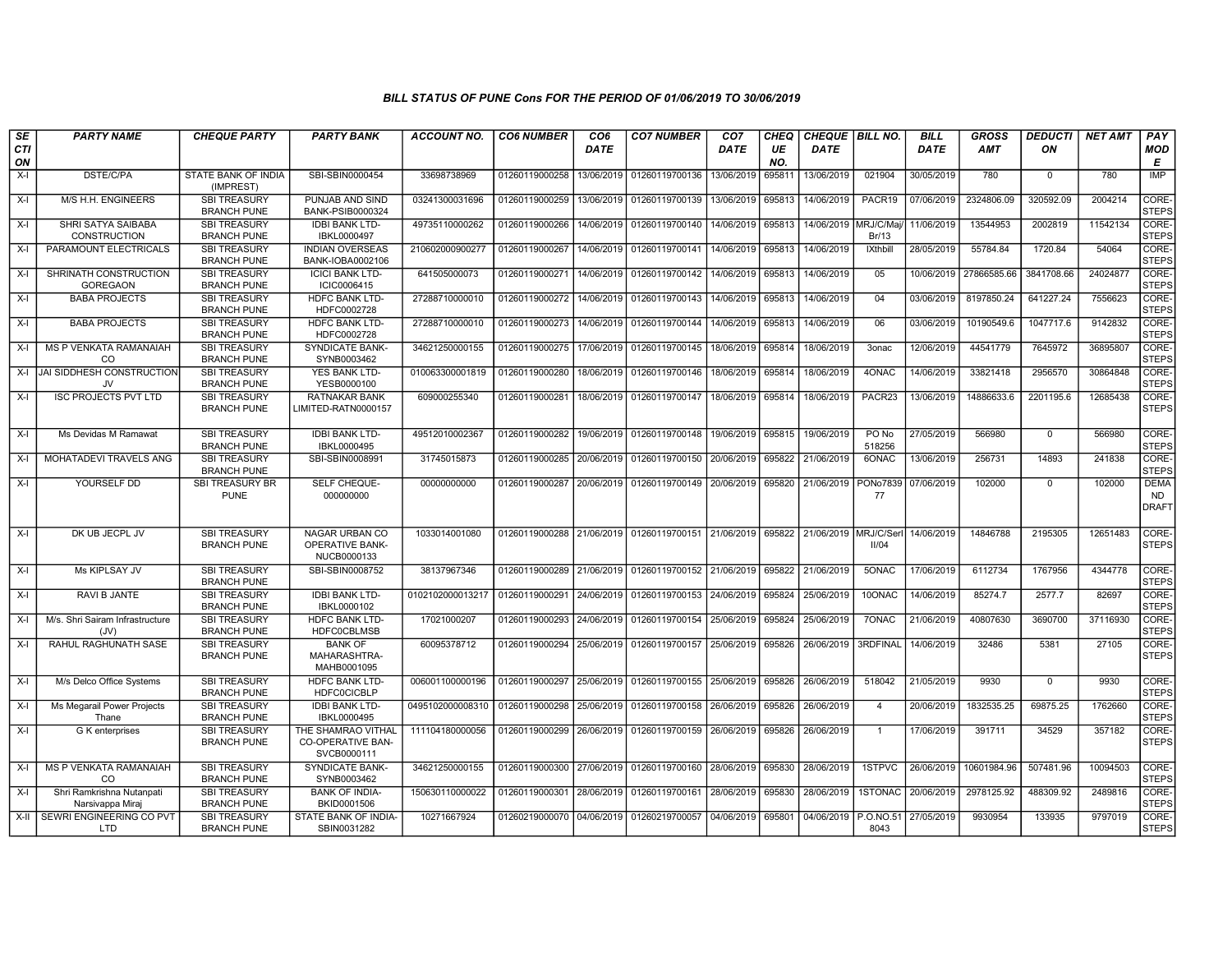| SE               | <b>PARTY NAME</b>                             | <b>CHEQUE PARTY</b>                       | <b>PARTY BANK</b>                                             | <b>ACCOUNT NO.</b> | <b>CO6 NUMBER</b>                        | CO <sub>6</sub> | <b>CO7 NUMBER</b>                    | CO <sub>7</sub> | <b>CHEQ</b> | <b>CHEQUE   BILL NO.</b> |                    | <b>BILL</b> | <b>GROSS</b> | <b>DEDUCTI</b> | <b>NET AMT</b> | <b>PAY</b>                               |
|------------------|-----------------------------------------------|-------------------------------------------|---------------------------------------------------------------|--------------------|------------------------------------------|-----------------|--------------------------------------|-----------------|-------------|--------------------------|--------------------|-------------|--------------|----------------|----------------|------------------------------------------|
| <b>CTI</b><br>ON |                                               |                                           |                                                               |                    |                                          | <b>DATE</b>     |                                      | <b>DATE</b>     | UE<br>NO.   | <b>DATE</b>              |                    | <b>DATE</b> | <b>AMT</b>   | ON             |                | MOD<br>Е                                 |
| $X-I$            | <b>DSTE/C/PA</b>                              | STATE BANK OF INDIA<br>(IMPREST)          | SBI-SBIN0000454                                               | 33698738969        | 01260119000258                           | 13/06/2019      | 01260119700136                       | 13/06/2019      | 695811      | 13/06/2019               | 021904             | 30/05/2019  | 780          | $\Omega$       | 780            | <b>IMP</b>                               |
| $X-I$            | M/S H.H. ENGINEERS                            | <b>SBI TREASURY</b><br><b>BRANCH PUNE</b> | PUNJAB AND SIND<br>BANK-PSIB0000324                           | 03241300031696     | 01260119000259                           | 13/06/2019      | 01260119700139                       | 13/06/2019      | 695813      | 14/06/2019               | PACR19             | 07/06/2019  | 2324806.09   | 320592.09      | 2004214        | CORE-<br><b>STEPS</b>                    |
| $X-I$            | SHRI SATYA SAIBABA<br><b>CONSTRUCTION</b>     | <b>SBI TREASURY</b><br><b>BRANCH PUNE</b> | <b>IDBI BANK LTD-</b><br>IBKL0000497                          | 49735110000262     | 01260119000266                           | 14/06/2019      | 01260119700140                       | 14/06/2019      | 695813      | 14/06/2019 MRJ/C/Maj/    | Br/13              | 11/06/2019  | 13544953     | 2002819        | 11542134       | CORE-<br><b>STEPS</b>                    |
| $X-I$            | PARAMOUNT ELECTRICALS                         | <b>SBI TREASURY</b><br><b>BRANCH PUNE</b> | <b>INDIAN OVERSEAS</b><br>BANK-IOBA0002106                    | 210602000900277    | 01260119000267                           | 14/06/2019      | 01260119700141                       | 14/06/2019      | 695813      | 14/06/2019               | <b>IXthbill</b>    | 28/05/2019  | 55784.84     | 1720.84        | 54064          | CORE-<br><b>STEPS</b>                    |
| $X-I$            | SHRINATH CONSTRUCTION<br><b>GOREGAON</b>      | <b>SBI TREASURY</b><br><b>BRANCH PUNE</b> | <b>ICICI BANK LTD-</b><br>ICIC0006415                         | 641505000073       | 01260119000271                           | 14/06/2019      | 01260119700142                       | 14/06/2019      | 695813      | 14/06/2019               | 05                 | 10/06/2019  | 27866585.66  | 3841708.66     | 24024877       | CORE-<br><b>STEPS</b>                    |
| $X-I$            | <b>BABA PROJECTS</b>                          | <b>SBI TREASURY</b><br><b>BRANCH PUNE</b> | <b>HDFC BANK LTD-</b><br>HDFC0002728                          | 27288710000010     | 01260119000272                           | 14/06/2019      | 01260119700143                       | 14/06/2019      | 695813      | 14/06/2019               | 04                 | 03/06/2019  | 8197850.24   | 641227.24      | 7556623        | CORE-<br><b>STEPS</b>                    |
| $X-I$            | <b>BABA PROJECTS</b>                          | <b>SBI TREASURY</b><br><b>BRANCH PUNE</b> | <b>HDFC BANK LTD-</b><br>HDFC0002728                          | 27288710000010     | 01260119000273                           | 14/06/2019      | 01260119700144                       | 14/06/2019      | 695813      | 14/06/2019               | 06                 | 03/06/2019  | 10190549.6   | 1047717.6      | 9142832        | CORE-<br><b>STEPS</b>                    |
| $X-I$            | MS P VENKATA RAMANAIAH<br>CO                  | <b>SBI TREASURY</b><br><b>BRANCH PUNE</b> | <b>SYNDICATE BANK</b><br>SYNB0003462                          | 34621250000155     | 01260119000275                           | 17/06/2019      | 01260119700145                       | 18/06/2019      | 695814      | 18/06/2019               | 3onac              | 12/06/2019  | 44541779     | 7645972        | 36895807       | CORE-<br><b>STEPS</b>                    |
|                  | X-I JAI SIDDHESH CONSTRUCTION<br>JV.          | <b>SBI TREASURY</b><br><b>BRANCH PUNE</b> | YES BANK LTD-<br>YESB0000100                                  | 010063300001819    | 01260119000280                           | 18/06/2019      | 01260119700146                       | 18/06/2019      | 695814      | 18/06/2019               | 40NAC              | 14/06/2019  | 33821418     | 2956570        | 30864848       | CORE-<br><b>STEPS</b>                    |
| $X-I$            | <b>ISC PROJECTS PVT LTD</b>                   | <b>SBI TREASURY</b><br><b>BRANCH PUNE</b> | <b>RATNAKAR BANK</b><br>LIMITED-RATN0000157                   | 609000255340       | 01260119000281                           | 18/06/2019      | 01260119700147                       | 18/06/2019      | 695814      | 18/06/2019               | PACR23             | 13/06/2019  | 14886633.6   | 2201195.6      | 12685438       | CORE-<br><b>STEPS</b>                    |
| $X-I$            | Ms Devidas M Ramawat                          | <b>SBI TREASURY</b><br><b>BRANCH PUNE</b> | <b>IDBI BANK LTD-</b><br>IBKL0000495                          | 49512010002367     | 01260119000282                           | 19/06/2019      | 01260119700148                       | 19/06/2019      | 695815      | 19/06/2019               | PO No<br>518256    | 27/05/2019  | 566980       | $\Omega$       | 566980         | CORE-<br><b>STEPS</b>                    |
| $X-I$            | MOHATADEVI TRAVELS ANG                        | <b>SBI TREASURY</b><br><b>BRANCH PUNE</b> | SBI-SBIN0008991                                               | 31745015873        | 01260119000285                           | 20/06/2019      | 01260119700150                       | 20/06/2019      | 695822      | 21/06/2019               | 6ONAC              | 13/06/2019  | 256731       | 14893          | 241838         | CORE-<br><b>STEPS</b>                    |
| $X-I$            | YOURSELF DD                                   | <b>SBI TREASURY BR</b><br><b>PUNE</b>     | SELF CHEQUE-<br>000000000                                     | 00000000000        | 01260119000287                           | 20/06/2019      | 01260119700149                       | 20/06/2019      | 695820      | 21/06/2019               | PONo7839<br>77     | 07/06/2019  | 102000       | $\mathbf 0$    | 102000         | <b>DEMA</b><br><b>ND</b><br><b>DRAFT</b> |
| $X-I$            | DK UB JECPL JV                                | <b>SBI TREASURY</b><br><b>BRANCH PUNE</b> | NAGAR URBAN CO<br><b>OPERATIVE BANK-</b><br>NUCB0000133       | 1033014001080      | 01260119000288                           |                 | 21/06/2019 01260119700151 21/06/2019 |                 | 695822      | 21/06/2019               | MRJ/C/Ser<br>II/04 | 14/06/2019  | 14846788     | 2195305        | 12651483       | CORE-<br><b>STEPS</b>                    |
| $X-I$            | Ms KIPLSAY JV                                 | <b>SBI TREASURY</b><br><b>BRANCH PUNE</b> | SBI-SBIN0008752                                               | 38137967346        | 01260119000289                           | 21/06/2019      | 01260119700152                       | 21/06/2019      | 695822      | 21/06/2019               | 50NAC              | 17/06/2019  | 6112734      | 1767956        | 4344778        | CORE-<br><b>STEPS</b>                    |
| $X-I$            | RAVI B JANTE                                  | <b>SBI TREASURY</b><br><b>BRANCH PUNE</b> | <b>IDBI BANK LTD-</b><br>IBKL0000102                          | 0102102000013217   | 01260119000291                           | 24/06/2019      | 01260119700153                       | 24/06/2019      | 695824      | 25/06/2019               | 10ONAC             | 14/06/2019  | 85274.7      | 2577.7         | 82697          | CORE-<br><b>STEPS</b>                    |
| $X-I$            | M/s. Shri Sairam Infrastructure<br>(JV)       | <b>SBI TREASURY</b><br><b>BRANCH PUNE</b> | <b>HDFC BANK LTD-</b><br><b>HDFC0CBLMSB</b>                   | 17021000207        | 01260119000293                           | 24/06/2019      | 01260119700154                       | 25/06/2019      | 695824      | 25/06/2019               | 70NAC              | 21/06/2019  | 40807630     | 3690700        | 37116930       | CORE-<br><b>STEPS</b>                    |
| $X-I$            | <b>RAHUL RAGHUNATH SASE</b>                   | <b>SBI TREASURY</b><br><b>BRANCH PUNE</b> | <b>BANK OF</b><br>MAHARASHTRA-<br>MAHB0001095                 | 60095378712        | 01260119000294                           | 25/06/2019      | 01260119700157                       | 25/06/2019      | 695826      | 26/06/2019               | <b>3RDFINAL</b>    | 14/06/2019  | 32486        | 5381           | 27105          | CORE-<br><b>STEPS</b>                    |
| $X-I$            | M/s Delco Office Systems                      | <b>SBI TREASURY</b><br><b>BRANCH PUNE</b> | <b>HDFC BANK LTD-</b><br><b>HDFC0CICBLP</b>                   | 006001100000196    | 01260119000297                           | 25/06/2019      | 01260119700155                       | 25/06/2019      | 695826      | 26/06/2019               | 518042             | 21/05/2019  | 9930         | $\Omega$       | 9930           | CORE-<br><b>STEPS</b>                    |
| $X-I$            | Ms Megarail Power Projects<br>Thane           | <b>SBI TREASURY</b><br><b>BRANCH PUNE</b> | <b>IDBI BANK LTD-</b><br>IBKL0000495                          | 0495102000008310   | 01260119000298                           | 25/06/2019      | 01260119700158                       | 26/06/2019      | 695826      | 26/06/2019               | $\overline{4}$     | 20/06/2019  | 1832535.25   | 69875.25       | 1762660        | CORE-<br><b>STEPS</b>                    |
| X-I              | G K enterprises                               | <b>SBI TREASURY</b><br><b>BRANCH PUNE</b> | THE SHAMRAO VITHAL<br><b>CO-OPERATIVE BAN-</b><br>SVCB0000111 | 111104180000056    | 01260119000299                           | 26/06/2019      | 01260119700159                       | 26/06/2019      | 695826      | 26/06/2019               | $\overline{1}$     | 17/06/2019  | 391711       | 34529          | 357182         | CORE-<br><b>STEPS</b>                    |
| $X-I$            | MS P VENKATA RAMANAIAH<br>CO                  | <b>SBI TREASURY</b><br><b>BRANCH PUNE</b> | <b>SYNDICATE BANK</b><br>SYNB0003462                          | 34621250000155     | 01260119000300                           | 27/06/2019      | 01260119700160                       | 28/06/2019      | 695830      | 28/06/2019               | 1STPVC             | 26/06/2019  | 10601984.96  | 507481.96      | 10094503       | CORE-<br><b>STEPS</b>                    |
| $X-I$            | Shri Ramkrishna Nutanpati<br>Narsivappa Miraj | <b>SBI TREASURY</b><br><b>BRANCH PUNE</b> | <b>BANK OF INDIA-</b><br>BKID0001506                          | 150630110000022    | 01260119000301                           | 28/06/2019      | 01260119700161                       | 28/06/2019      | 695830      | 28/06/2019               | 1STONAC            | 20/06/2019  | 2978125.92   | 488309.92      | 2489816        | CORE-<br><b>STEPS</b>                    |
|                  | X-II SEWRI ENGINEERING CO PVT<br>LTD.         | <b>SBI TREASURY</b><br><b>BRANCH PUNE</b> | STATE BANK OF INDIA-<br>SBIN0031282                           | 10271667924        | 01260219000070 04/06/2019 01260219700057 |                 |                                      | 04/06/2019      | 695801      | 04/06/2019 P.O.NO.51     | 8043               | 27/05/2019  | 9930954      | 133935         | 9797019        | CORE-<br><b>STEPS</b>                    |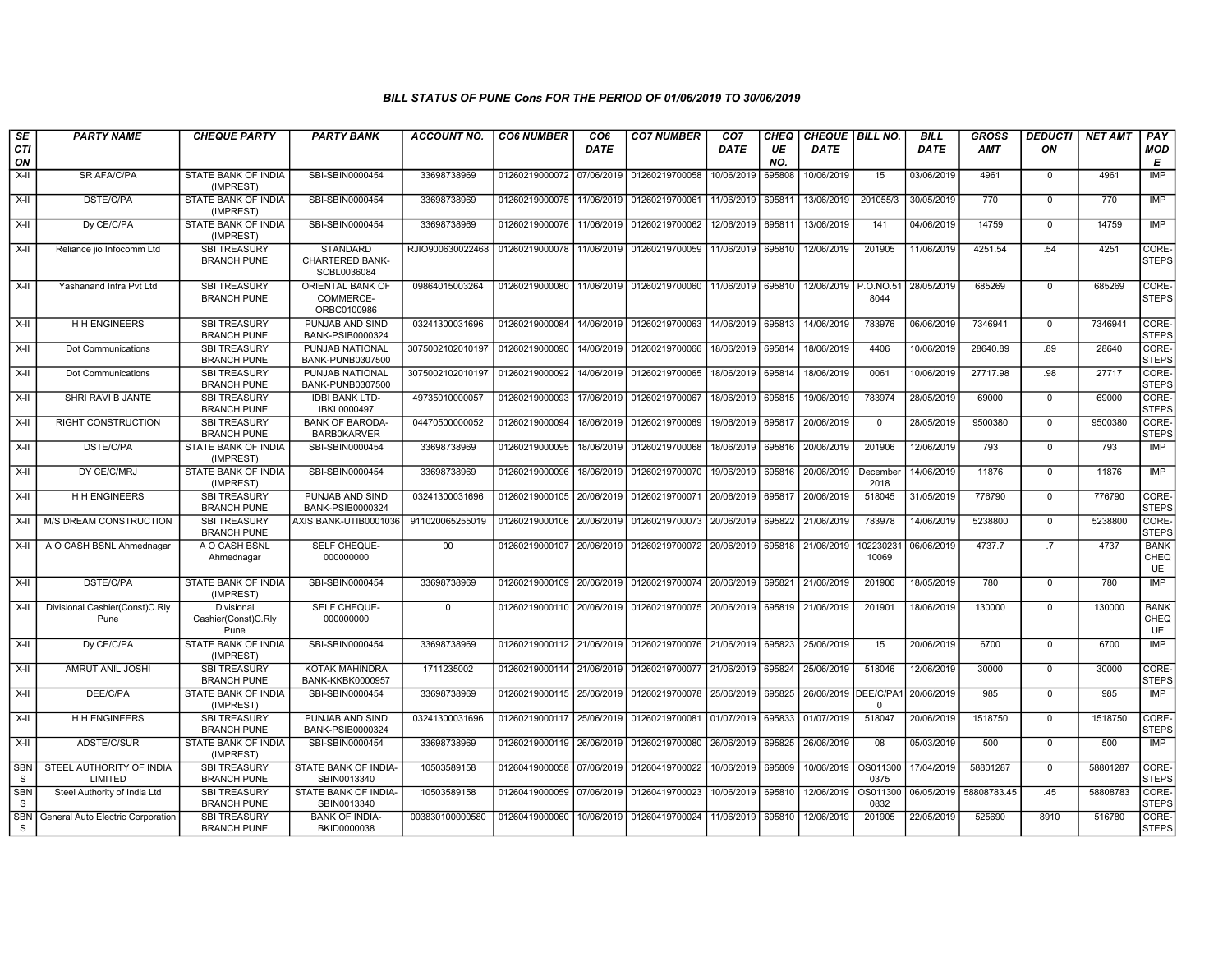| SE                         | <b>PARTY NAME</b>                      | <b>CHEQUE PARTY</b>                       | <b>PARTY BANK</b>                                        | <b>ACCOUNT NO.</b>              | <b>CO6 NUMBER</b>         | CO <sub>6</sub> | <b>CO7 NUMBER</b>                | CO <sub>7</sub>   | CHEQ      | CHEQUE   BILL NO.    |                   | <b>BILL</b> | <b>GROSS</b> | <b>DEDUCTI</b> | <b>NET AMT</b> | PAY                              |
|----------------------------|----------------------------------------|-------------------------------------------|----------------------------------------------------------|---------------------------------|---------------------------|-----------------|----------------------------------|-------------------|-----------|----------------------|-------------------|-------------|--------------|----------------|----------------|----------------------------------|
| <b>CTI</b><br>ON           |                                        |                                           |                                                          |                                 |                           | <b>DATE</b>     |                                  | DATE              | UE<br>NO. | <b>DATE</b>          |                   | <b>DATE</b> | <b>AMT</b>   | ON             |                | <b>MOD</b><br>E                  |
| X-II                       | <b>SR AFA/C/PA</b>                     | STATE BANK OF INDIA<br>(IMPREST)          | SBI-SBIN0000454                                          | 33698738969                     | 01260219000072 07/06/2019 |                 | 01260219700058                   | 10/06/2019        | 695808    | 10/06/2019           | 15                | 03/06/2019  | 4961         | $\mathbf 0$    | 4961           | IMP                              |
| X-II                       | <b>DSTE/C/PA</b>                       | STATE BANK OF INDIA<br>(IMPREST)          | SBI-SBIN0000454                                          | 33698738969                     | 01260219000075            | 11/06/2019      | 01260219700061                   | 11/06/2019        | 695811    | 13/06/2019           | 201055/3          | 30/05/2019  | 770          | $\Omega$       | 770            | IMP                              |
| X-II                       | Dy CE/C/PA                             | STATE BANK OF INDIA<br>(IMPREST)          | SBI-SBIN0000454                                          | 33698738969                     | 01260219000076 11/06/2019 |                 | 01260219700062                   | 12/06/2019 695811 |           | 13/06/2019           | 141               | 04/06/2019  | 14759        | $\mathbf 0$    | 14759          | <b>IMP</b>                       |
| X-II                       | Reliance jio Infocomm Ltd              | <b>SBI TREASURY</b><br><b>BRANCH PUNE</b> | <b>STANDARD</b><br><b>CHARTERED BANK-</b><br>SCBL0036084 | RJIO900630022468                | 01260219000078            | 11/06/2019      | 01260219700059                   | 11/06/2019 695810 |           | 12/06/2019           | 201905            | 11/06/2019  | 4251.54      | .54            | 4251           | CORE-<br><b>STEPS</b>            |
| $X-H$                      | Yashanand Infra Pvt Ltd                | <b>SBI TREASURY</b><br><b>BRANCH PUNE</b> | <b>ORIENTAL BANK OF</b><br>COMMERCE-<br>ORBC0100986      | 09864015003264                  | 01260219000080            | 11/06/2019      | 01260219700060                   | 11/06/2019        | 695810    | 12/06/2019           | P.O.NO.51<br>8044 | 28/05/2019  | 685269       | $\overline{0}$ | 685269         | CORE-<br><b>STEPS</b>            |
| X-II                       | H H ENGINEERS                          | <b>SBI TREASURY</b><br><b>BRANCH PUNE</b> | PUNJAB AND SIND<br>BANK-PSIB0000324                      | 03241300031696                  | 01260219000084            | 14/06/2019      | 01260219700063                   | 14/06/2019        | 695813    | 14/06/2019           | 783976            | 06/06/2019  | 7346941      | $\mathbf 0$    | 7346941        | CORE-<br><b>STEPS</b>            |
| $X-H$                      | Dot Communications                     | <b>SBI TREASURY</b><br><b>BRANCH PUNE</b> | PUNJAB NATIONAL<br>BANK-PUNB0307500                      | 3075002102010197                | 01260219000090            | 14/06/2019      | 01260219700066                   | 18/06/2019        | 695814    | 18/06/2019           | 4406              | 10/06/2019  | 28640.89     | .89            | 28640          | CORE-<br><b>STEPS</b>            |
| X-II                       | Dot Communications                     | <b>SBI TREASURY</b><br><b>BRANCH PUNE</b> | PUNJAB NATIONAL<br>BANK-PUNB0307500                      | 3075002102010197 01260219000092 |                           | 14/06/2019      | 01260219700065                   | 18/06/2019 695814 |           | 18/06/2019           | 0061              | 10/06/2019  | 27717.98     | .98            | 27717          | CORE-<br><b>STEPS</b>            |
| $X-H$                      | SHRI RAVI B JANTE                      | <b>SBI TREASURY</b><br><b>BRANCH PUNE</b> | <b>IDBI BANK LTD-</b><br>IBKL0000497                     | 49735010000057                  | 01260219000093            | 17/06/2019      | 01260219700067                   | 18/06/2019        | 695815    | 19/06/2019           | 783974            | 28/05/2019  | 69000        | $\mathbf 0$    | 69000          | CORE-<br><b>STEPS</b>            |
| X-II                       | <b>RIGHT CONSTRUCTION</b>              | <b>SBI TREASURY</b><br><b>BRANCH PUNE</b> | <b>BANK OF BARODA-</b><br><b>BARB0KARVER</b>             | 04470500000052                  | 01260219000094            | 18/06/2019      | 01260219700069                   | 19/06/2019        | 695817    | 20/06/2019           | $\mathbf 0$       | 28/05/2019  | 9500380      | $\mathbf 0$    | 9500380        | CORE-<br><b>STEPS</b>            |
| $X-II$                     | DSTE/C/PA                              | <b>STATE BANK OF INDIA</b><br>(IMPREST)   | SBI-SBIN0000454                                          | 33698738969                     | 01260219000095            | 18/06/2019      | 01260219700068                   | 18/06/2019        | 695816    | 20/06/2019           | 201906            | 12/06/2019  | 793          | $\overline{0}$ | 793            | IMP                              |
| $X-H$                      | DY CE/C/MRJ                            | STATE BANK OF INDIA<br>(IMPREST)          | SBI-SBIN0000454                                          | 33698738969                     | 01260219000096            | 18/06/2019      | 01260219700070                   | 19/06/2019 695816 |           | 20/06/2019           | December<br>2018  | 14/06/2019  | 11876        | $\Omega$       | 11876          | <b>IMP</b>                       |
| X-II                       | <b>HH ENGINEERS</b>                    | <b>SBI TREASURY</b><br><b>BRANCH PUNE</b> | PUNJAB AND SIND<br><b>BANK-PSIB0000324</b>               | 03241300031696                  | 01260219000105 20/06/2019 |                 | 01260219700071 20/06/2019 695817 |                   |           | 20/06/2019           | 518045            | 31/05/2019  | 776790       | $\mathbf 0$    | 776790         | CORE-<br><b>STEPS</b>            |
| $X-II$                     | M/S DREAM CONSTRUCTION                 | <b>SBI TREASURY</b><br><b>BRANCH PUNE</b> | AXIS BANK-UTIB0001036                                    | 911020065255019                 | 01260219000106            | 20/06/2019      | 01260219700073                   | 20/06/2019        | 695822    | 21/06/2019           | 783978            | 14/06/2019  | 5238800      | $\mathbf 0$    | 5238800        | CORE-<br><b>STEPS</b>            |
| X-II                       | A O CASH BSNL Ahmednagar               | A O CASH BSNL<br>Ahmednagar               | SELF CHEQUE-<br>000000000                                | 00                              | 01260219000107 20/06/2019 |                 | 01260219700072 20/06/2019 695818 |                   |           | 21/06/2019           | 10223023<br>10069 | 06/06/2019  | 4737.7       | .7             | 4737           | <b>BANK</b><br>CHEQ<br><b>UE</b> |
| $X-H$                      | <b>DSTE/C/PA</b>                       | STATE BANK OF INDIA<br>(IMPREST)          | SBI-SBIN0000454                                          | 33698738969                     | 01260219000109 20/06/2019 |                 | 01260219700074 20/06/2019 695821 |                   |           | 21/06/2019           | 201906            | 18/05/2019  | 780          | $\mathbf 0$    | 780            | <b>IMP</b>                       |
| X-II                       | Divisional Cashier(Const)C.Rly<br>Pune | Divisional<br>Cashier(Const)C.Rly<br>Pune | SELF CHEQUE-<br>000000000                                | $\mathbf 0$                     | 01260219000110 20/06/2019 |                 | 01260219700075 20/06/2019 695819 |                   |           | 21/06/2019           | 201901            | 18/06/2019  | 130000       | $\mathbf 0$    | 130000         | <b>BANK</b><br>CHEQ<br>UE        |
| $X-H$                      | Dy CE/C/PA                             | <b>STATE BANK OF INDIA</b><br>(IMPREST)   | SBI-SBIN0000454                                          | 33698738969                     | 01260219000112 21/06/2019 |                 | 01260219700076 21/06/2019 695823 |                   |           | 25/06/2019           | 15                | 20/06/2019  | 6700         | $\overline{0}$ | 6700           | IMP                              |
| X-II                       | AMRUT ANIL JOSHI                       | <b>SBI TREASURY</b><br><b>BRANCH PUNE</b> | KOTAK MAHINDRA<br><b>BANK-KKBK0000957</b>                | 1711235002                      | 01260219000114 21/06/2019 |                 | 01260219700077 21/06/2019 695824 |                   |           | 25/06/2019           | 518046            | 12/06/2019  | 30000        | $\Omega$       | 30000          | CORE-<br><b>STEPS</b>            |
| $X-II$                     | DEE/C/PA                               | STATE BANK OF INDIA<br>(IMPREST)          | SBI-SBIN0000454                                          | 33698738969                     | 01260219000115 25/06/2019 |                 | 01260219700078 25/06/2019        |                   | 695825    | 26/06/2019 DEE/C/PA1 | $\Omega$          | 20/06/2019  | 985          | $\overline{0}$ | 985            | <b>IMP</b>                       |
| X-II                       | <b>HH ENGINEERS</b>                    | <b>SBI TREASURY</b><br><b>BRANCH PUNE</b> | PUNJAB AND SIND<br>BANK-PSIB0000324                      | 03241300031696                  | 01260219000117 25/06/2019 |                 | 01260219700081 01/07/2019 695833 |                   |           | 01/07/2019           | 518047            | 20/06/2019  | 1518750      | $\mathbf 0$    | 1518750        | CORE-<br><b>STEPS</b>            |
| X-II                       | ADSTE/C/SUR                            | <b>STATE BANK OF INDIA</b><br>(IMPREST)   | SBI-SBIN0000454                                          | 33698738969                     | 01260219000119            | 26/06/2019      | 01260219700080                   | 26/06/2019 695825 |           | 26/06/2019           | 08                | 05/03/2019  | 500          | $\mathbf 0$    | 500            | IMP                              |
| SBN<br>S                   | STEEL AUTHORITY OF INDIA<br>LIMITED    | <b>SBI TREASURY</b><br><b>BRANCH PUNE</b> | STATE BANK OF INDIA-<br>SBIN0013340                      | 10503589158                     | 01260419000058            | 07/06/2019      | 01260419700022                   | 10/06/2019 695809 |           | 10/06/2019           | OS011300<br>0375  | 17/04/2019  | 58801287     | $\mathbf 0$    | 58801287       | CORE-<br><b>STEPS</b>            |
| <b>SBN</b><br><sub>S</sub> | Steel Authority of India Ltd           | <b>SBI TREASURY</b><br><b>BRANCH PUNE</b> | STATE BANK OF INDIA-<br>SBIN0013340                      | 10503589158                     | 01260419000059            | 07/06/2019      | 01260419700023                   | 10/06/2019 695810 |           | 12/06/2019           | OS011300<br>0832  | 06/05/2019  | 58808783.45  | .45            | 58808783       | CORE-<br>STEPS                   |
| <b>SBN</b><br>S.           | General Auto Electric Corporation      | <b>SBI TREASURY</b><br><b>BRANCH PUNE</b> | <b>BANK OF INDIA-</b><br>BKID0000038                     | 003830100000580                 | 01260419000060            | 10/06/2019      | 01260419700024 11/06/2019        |                   | 695810    | 12/06/2019           | 201905            | 22/05/2019  | 525690       | 8910           | 516780         | CORE-<br><b>STEPS</b>            |